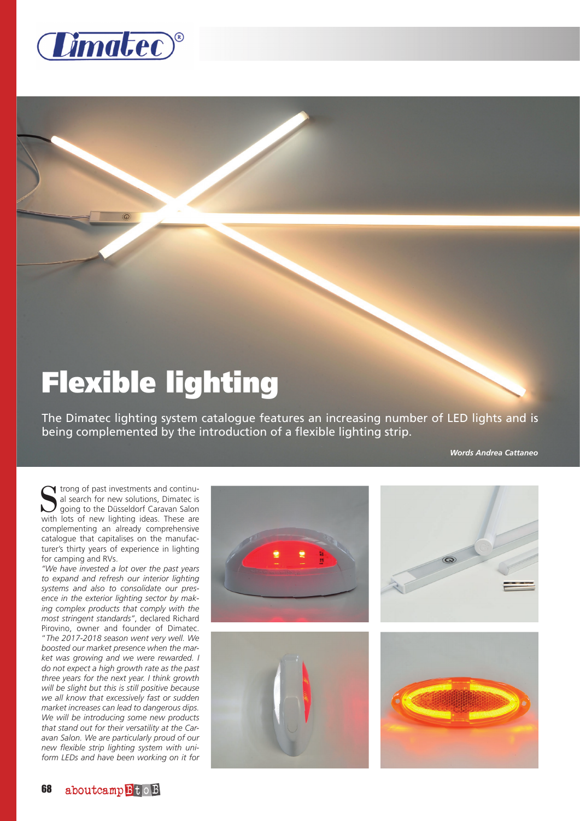

## Flexible lighting

The Dimatec lighting system catalogue features an increasing number of LED lights and is being complemented by the introduction of a flexible lighting strip.

*Words Andrea Cattaneo*

Strong of past investments and continual<br>al search for new solutions, Dimatec is<br>going to the Düsseldorf Caravan Salon<br>with lots of new lighting ideas. These are al search for new solutions, Dimatec is going to the Düsseldorf Caravan Salon with lots of new lighting ideas. These are complementing an already comprehensive catalogue that capitalises on the manufacturer's thirty years of experience in lighting for camping and RVs.

*"We have invested a lot over the past years to expand and refresh our interior lighting systems and also to consolidate our presence in the exterior lighting sector by making complex products that comply with the most stringent standards"*, declared Richard Pirovino, owner and founder of Dimatec. "*The 2017-2018 season went very well. We boosted our market presence when the market was growing and we were rewarded. I do not expect a high growth rate as the past three years for the next year. I think growth will be slight but this is still positive because we all know that excessively fast or sudden market increases can lead to dangerous dips. We will be introducing some new products that stand out for their versatility at the Caravan Salon. We are particularly proud of our new flexible strip lighting system with uniform LEDs and have been working on it for*